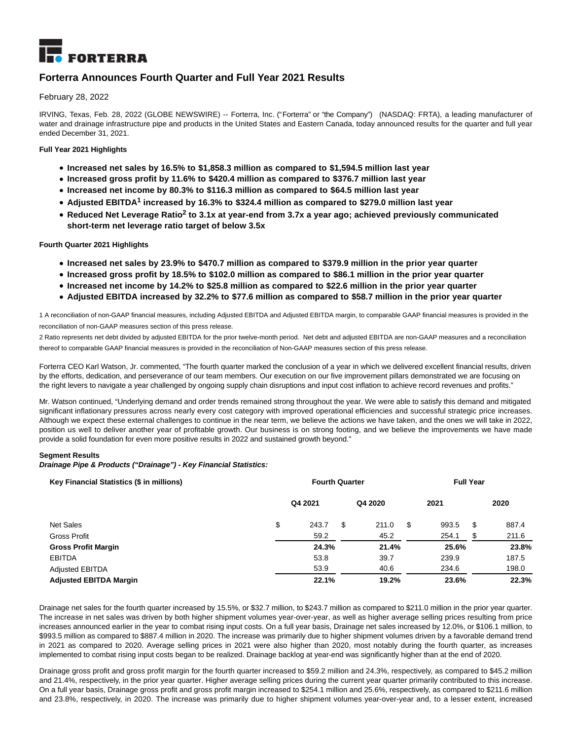

# **Forterra Announces Fourth Quarter and Full Year 2021 Results**

February 28, 2022

IRVING, Texas, Feb. 28, 2022 (GLOBE NEWSWIRE) -- Forterra, Inc. ("Forterra" or "the Company") (NASDAQ: FRTA), a leading manufacturer of water and drainage infrastructure pipe and products in the United States and Eastern Canada, today announced results for the quarter and full year ended December 31, 2021.

## **Full Year 2021 Highlights**

- **Increased net sales by 16.5% to \$1,858.3 million as compared to \$1,594.5 million last year**
- **Increased gross profit by 11.6% to \$420.4 million as compared to \$376.7 million last year**
- **Increased net income by 80.3% to \$116.3 million as compared to \$64.5 million last year**
- **Adjusted EBITDA<sup>1</sup> increased by 16.3% to \$324.4 million as compared to \$279.0 million last year**
- **Reduced Net Leverage Ratio<sup>2</sup> to 3.1x at year-end from 3.7x a year ago; achieved previously communicated short-term net leverage ratio target of below 3.5x**

## **Fourth Quarter 2021 Highlights**

- **Increased net sales by 23.9% to \$470.7 million as compared to \$379.9 million in the prior year quarter**
- **Increased gross profit by 18.5% to \$102.0 million as compared to \$86.1 million in the prior year quarter**
- **Increased net income by 14.2% to \$25.8 million as compared to \$22.6 million in the prior year quarter**
- **Adjusted EBITDA increased by 32.2% to \$77.6 million as compared to \$58.7 million in the prior year quarter**

1 A reconciliation of non-GAAP financial measures, including Adjusted EBITDA and Adjusted EBITDA margin, to comparable GAAP financial measures is provided in the reconciliation of non-GAAP measures section of this press release.

2 Ratio represents net debt divided by adjusted EBITDA for the prior twelve-month period. Net debt and adjusted EBITDA are non-GAAP measures and a reconciliation thereof to comparable GAAP financial measures is provided in the reconciliation of Non-GAAP measures section of this press release.

Forterra CEO Karl Watson, Jr. commented, "The fourth quarter marked the conclusion of a year in which we delivered excellent financial results, driven by the efforts, dedication, and perseverance of our team members. Our execution on our five improvement pillars demonstrated we are focusing on the right levers to navigate a year challenged by ongoing supply chain disruptions and input cost inflation to achieve record revenues and profits."

Mr. Watson continued, "Underlying demand and order trends remained strong throughout the year. We were able to satisfy this demand and mitigated significant inflationary pressures across nearly every cost category with improved operational efficiencies and successful strategic price increases. Although we expect these external challenges to continue in the near term, we believe the actions we have taken, and the ones we will take in 2022, position us well to deliver another year of profitable growth. Our business is on strong footing, and we believe the improvements we have made provide a solid foundation for even more positive results in 2022 and sustained growth beyond."

#### **Segment Results**

**Drainage Pipe & Products ("Drainage") - Key Financial Statistics:**

| Key Financial Statistics (\$ in millions) | <b>Fourth Quarter</b> |   |         |   |       |    | <b>Full Year</b> |
|-------------------------------------------|-----------------------|---|---------|---|-------|----|------------------|
|                                           | Q4 2021               |   | Q4 2020 |   | 2021  |    | 2020             |
| Net Sales                                 | \$<br>243.7           | S | 211.0   | S | 993.5 | \$ | 887.4            |
| Gross Profit                              | 59.2                  |   | 45.2    |   | 254.1 | \$ | 211.6            |
| <b>Gross Profit Margin</b>                | 24.3%                 |   | 21.4%   |   | 25.6% |    | 23.8%            |
| <b>EBITDA</b>                             | 53.8                  |   | 39.7    |   | 239.9 |    | 187.5            |
| <b>Adjusted EBITDA</b>                    | 53.9                  |   | 40.6    |   | 234.6 |    | 198.0            |
| <b>Adjusted EBITDA Margin</b>             | 22.1%                 |   | 19.2%   |   | 23.6% |    | 22.3%            |

Drainage net sales for the fourth quarter increased by 15.5%, or \$32.7 million, to \$243.7 million as compared to \$211.0 million in the prior year quarter. The increase in net sales was driven by both higher shipment volumes year-over-year, as well as higher average selling prices resulting from price increases announced earlier in the year to combat rising input costs. On a full year basis, Drainage net sales increased by 12.0%, or \$106.1 million, to \$993.5 million as compared to \$887.4 million in 2020. The increase was primarily due to higher shipment volumes driven by a favorable demand trend in 2021 as compared to 2020. Average selling prices in 2021 were also higher than 2020, most notably during the fourth quarter, as increases implemented to combat rising input costs began to be realized. Drainage backlog at year-end was significantly higher than at the end of 2020.

Drainage gross profit and gross profit margin for the fourth quarter increased to \$59.2 million and 24.3%, respectively, as compared to \$45.2 million and 21.4%, respectively, in the prior year quarter. Higher average selling prices during the current year quarter primarily contributed to this increase. On a full year basis, Drainage gross profit and gross profit margin increased to \$254.1 million and 25.6%, respectively, as compared to \$211.6 million and 23.8%, respectively, in 2020. The increase was primarily due to higher shipment volumes year-over-year and, to a lesser extent, increased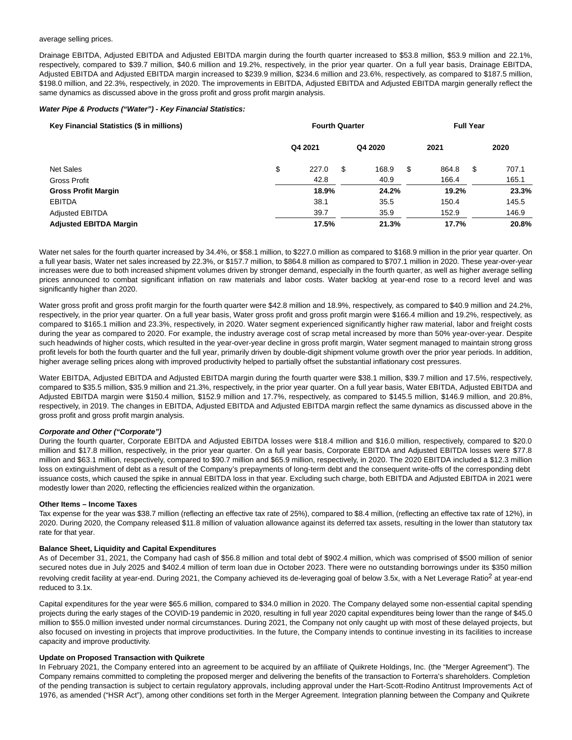#### average selling prices.

Drainage EBITDA, Adjusted EBITDA and Adjusted EBITDA margin during the fourth quarter increased to \$53.8 million, \$53.9 million and 22.1%, respectively, compared to \$39.7 million, \$40.6 million and 19.2%, respectively, in the prior year quarter. On a full year basis, Drainage EBITDA, Adjusted EBITDA and Adjusted EBITDA margin increased to \$239.9 million, \$234.6 million and 23.6%, respectively, as compared to \$187.5 million, \$198.0 million, and 22.3%, respectively, in 2020. The improvements in EBITDA, Adjusted EBITDA and Adjusted EBITDA margin generally reflect the same dynamics as discussed above in the gross profit and gross profit margin analysis.

#### **Water Pipe & Products ("Water") - Key Financial Statistics:**

| Key Financial Statistics (\$ in millions) | <b>Fourth Quarter</b> |    |         |    |       |    | <b>Full Year</b> |
|-------------------------------------------|-----------------------|----|---------|----|-------|----|------------------|
|                                           | Q4 2021               |    | Q4 2020 |    | 2021  |    | 2020             |
| Net Sales                                 | \$<br>227.0           | \$ | 168.9   | \$ | 864.8 | \$ | 707.1            |
| Gross Profit                              | 42.8                  |    | 40.9    |    | 166.4 |    | 165.1            |
| <b>Gross Profit Margin</b>                | 18.9%                 |    | 24.2%   |    | 19.2% |    | 23.3%            |
| <b>EBITDA</b>                             | 38.1                  |    | 35.5    |    | 150.4 |    | 145.5            |
| <b>Adjusted EBITDA</b>                    | 39.7                  |    | 35.9    |    | 152.9 |    | 146.9            |
| <b>Adjusted EBITDA Margin</b>             | 17.5%                 |    | 21.3%   |    | 17.7% |    | 20.8%            |

Water net sales for the fourth quarter increased by 34.4%, or \$58.1 million, to \$227.0 million as compared to \$168.9 million in the prior year quarter. On a full year basis, Water net sales increased by 22.3%, or \$157.7 million, to \$864.8 million as compared to \$707.1 million in 2020. These year-over-year increases were due to both increased shipment volumes driven by stronger demand, especially in the fourth quarter, as well as higher average selling prices announced to combat significant inflation on raw materials and labor costs. Water backlog at year-end rose to a record level and was significantly higher than 2020.

Water gross profit and gross profit margin for the fourth quarter were \$42.8 million and 18.9%, respectively, as compared to \$40.9 million and 24.2%, respectively, in the prior year quarter. On a full year basis, Water gross profit and gross profit margin were \$166.4 million and 19.2%, respectively, as compared to \$165.1 million and 23.3%, respectively, in 2020. Water segment experienced significantly higher raw material, labor and freight costs during the year as compared to 2020. For example, the industry average cost of scrap metal increased by more than 50% year-over-year. Despite such headwinds of higher costs, which resulted in the year-over-year decline in gross profit margin, Water segment managed to maintain strong gross profit levels for both the fourth quarter and the full year, primarily driven by double-digit shipment volume growth over the prior year periods. In addition, higher average selling prices along with improved productivity helped to partially offset the substantial inflationary cost pressures.

Water EBITDA, Adjusted EBITDA and Adjusted EBITDA margin during the fourth quarter were \$38.1 million, \$39.7 million and 17.5%, respectively, compared to \$35.5 million, \$35.9 million and 21.3%, respectively, in the prior year quarter. On a full year basis, Water EBITDA, Adjusted EBITDA and Adjusted EBITDA margin were \$150.4 million, \$152.9 million and 17.7%, respectively, as compared to \$145.5 million, \$146.9 million, and 20.8%, respectively, in 2019. The changes in EBITDA, Adjusted EBITDA and Adjusted EBITDA margin reflect the same dynamics as discussed above in the gross profit and gross profit margin analysis.

#### **Corporate and Other ("Corporate")**

During the fourth quarter, Corporate EBITDA and Adjusted EBITDA losses were \$18.4 million and \$16.0 million, respectively, compared to \$20.0 million and \$17.8 million, respectively, in the prior year quarter. On a full year basis, Corporate EBITDA and Adjusted EBITDA losses were \$77.8 million and \$63.1 million, respectively, compared to \$90.7 million and \$65.9 million, respectively, in 2020. The 2020 EBITDA included a \$12.3 million loss on extinguishment of debt as a result of the Company's prepayments of long-term debt and the consequent write-offs of the corresponding debt issuance costs, which caused the spike in annual EBITDA loss in that year. Excluding such charge, both EBITDA and Adjusted EBITDA in 2021 were modestly lower than 2020, reflecting the efficiencies realized within the organization.

#### **Other Items – Income Taxes**

Tax expense for the year was \$38.7 million (reflecting an effective tax rate of 25%), compared to \$8.4 million, (reflecting an effective tax rate of 12%), in 2020. During 2020, the Company released \$11.8 million of valuation allowance against its deferred tax assets, resulting in the lower than statutory tax rate for that year.

## **Balance Sheet, Liquidity and Capital Expenditures**

As of December 31, 2021, the Company had cash of \$56.8 million and total debt of \$902.4 million, which was comprised of \$500 million of senior secured notes due in July 2025 and \$402.4 million of term loan due in October 2023. There were no outstanding borrowings under its \$350 million revolving credit facility at year-end. During 2021, the Company achieved its de-leveraging goal of below 3.5x, with a Net Leverage Ratio<sup>2</sup> at year-end reduced to 3.1x.

Capital expenditures for the year were \$65.6 million, compared to \$34.0 million in 2020. The Company delayed some non-essential capital spending projects during the early stages of the COVID-19 pandemic in 2020, resulting in full year 2020 capital expenditures being lower than the range of \$45.0 million to \$55.0 million invested under normal circumstances. During 2021, the Company not only caught up with most of these delayed projects, but also focused on investing in projects that improve productivities. In the future, the Company intends to continue investing in its facilities to increase capacity and improve productivity.

#### **Update on Proposed Transaction with Quikrete**

In February 2021, the Company entered into an agreement to be acquired by an affiliate of Quikrete Holdings, Inc. (the "Merger Agreement"). The Company remains committed to completing the proposed merger and delivering the benefits of the transaction to Forterra's shareholders. Completion of the pending transaction is subject to certain regulatory approvals, including approval under the Hart-Scott-Rodino Antitrust Improvements Act of 1976, as amended ("HSR Act"), among other conditions set forth in the Merger Agreement. Integration planning between the Company and Quikrete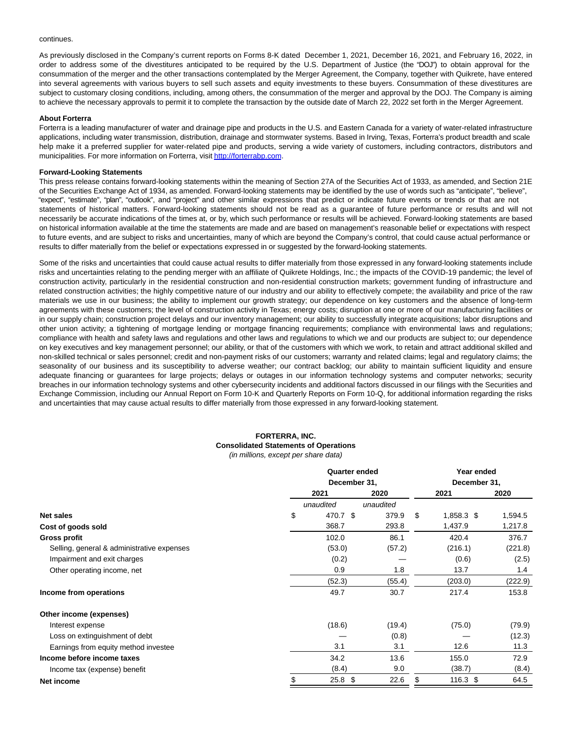#### continues.

As previously disclosed in the Company's current reports on Forms 8-K dated December 1, 2021, December 16, 2021, and February 16, 2022, in order to address some of the divestitures anticipated to be required by the U.S. Department of Justice (the "DOJ") to obtain approval for the consummation of the merger and the other transactions contemplated by the Merger Agreement, the Company, together with Quikrete, have entered into several agreements with various buyers to sell such assets and equity investments to these buyers. Consummation of these divestitures are subject to customary closing conditions, including, among others, the consummation of the merger and approval by the DOJ. The Company is aiming to achieve the necessary approvals to permit it to complete the transaction by the outside date of March 22, 2022 set forth in the Merger Agreement.

#### **About Forterra**

Forterra is a leading manufacturer of water and drainage pipe and products in the U.S. and Eastern Canada for a variety of water-related infrastructure applications, including water transmission, distribution, drainage and stormwater systems. Based in Irving, Texas, Forterra's product breadth and scale help make it a preferred supplier for water-related pipe and products, serving a wide variety of customers, including contractors, distributors and municipalities. For more information on Forterra, visi[t http://forterrabp.com.](http://forterrabp.com/)

#### **Forward-Looking Statements**

This press release contains forward-looking statements within the meaning of Section 27A of the Securities Act of 1933, as amended, and Section 21E of the Securities Exchange Act of 1934, as amended. Forward-looking statements may be identified by the use of words such as "anticipate", "believe", "expect", "estimate", "plan", "outlook", and "project" and other similar expressions that predict or indicate future events or trends or that are not statements of historical matters. Forward-looking statements should not be read as a guarantee of future performance or results and will not necessarily be accurate indications of the times at, or by, which such performance or results will be achieved. Forward-looking statements are based on historical information available at the time the statements are made and are based on management's reasonable belief or expectations with respect to future events, and are subject to risks and uncertainties, many of which are beyond the Company's control, that could cause actual performance or results to differ materially from the belief or expectations expressed in or suggested by the forward-looking statements.

Some of the risks and uncertainties that could cause actual results to differ materially from those expressed in any forward-looking statements include risks and uncertainties relating to the pending merger with an affiliate of Quikrete Holdings, Inc.; the impacts of the COVID-19 pandemic; the level of construction activity, particularly in the residential construction and non-residential construction markets; government funding of infrastructure and related construction activities; the highly competitive nature of our industry and our ability to effectively compete; the availability and price of the raw materials we use in our business; the ability to implement our growth strategy; our dependence on key customers and the absence of long-term agreements with these customers; the level of construction activity in Texas; energy costs; disruption at one or more of our manufacturing facilities or in our supply chain; construction project delays and our inventory management; our ability to successfully integrate acquisitions; labor disruptions and other union activity; a tightening of mortgage lending or mortgage financing requirements; compliance with environmental laws and regulations; compliance with health and safety laws and regulations and other laws and regulations to which we and our products are subject to; our dependence on key executives and key management personnel; our ability, or that of the customers with which we work, to retain and attract additional skilled and non-skilled technical or sales personnel; credit and non-payment risks of our customers; warranty and related claims; legal and regulatory claims; the seasonality of our business and its susceptibility to adverse weather; our contract backlog; our ability to maintain sufficient liquidity and ensure adequate financing or guarantees for large projects; delays or outages in our information technology systems and computer networks; security breaches in our information technology systems and other cybersecurity incidents and additional factors discussed in our filings with the Securities and Exchange Commission, including our Annual Report on Form 10-K and Quarterly Reports on Form 10-Q, for additional information regarding the risks and uncertainties that may cause actual results to differ materially from those expressed in any forward-looking statement.

### **FORTERRA, INC. Consolidated Statements of Operations** (in millions, except per share data)

|                                            |                | <b>Quarter ended</b> | Year ended |              |         |  |  |
|--------------------------------------------|----------------|----------------------|------------|--------------|---------|--|--|
|                                            |                | December 31,         |            | December 31, |         |  |  |
|                                            | 2021           | 2020                 |            | 2021         | 2020    |  |  |
|                                            | unaudited      | unaudited            |            |              |         |  |  |
| <b>Net sales</b>                           | \$<br>470.7 \$ | 379.9                | \$         | $1,858.3$ \$ | 1,594.5 |  |  |
| Cost of goods sold                         | 368.7          | 293.8                |            | 1,437.9      | 1,217.8 |  |  |
| Gross profit                               | 102.0          | 86.1                 |            | 420.4        | 376.7   |  |  |
| Selling, general & administrative expenses | (53.0)         | (57.2)               |            | (216.1)      | (221.8) |  |  |
| Impairment and exit charges                | (0.2)          |                      |            | (0.6)        | (2.5)   |  |  |
| Other operating income, net                | 0.9            | 1.8                  |            | 13.7         | 1.4     |  |  |
|                                            | (52.3)         | (55.4)               |            | (203.0)      | (222.9) |  |  |
| Income from operations                     | 49.7           | 30.7                 |            | 217.4        | 153.8   |  |  |
| Other income (expenses)                    |                |                      |            |              |         |  |  |
| Interest expense                           | (18.6)         | (19.4)               |            | (75.0)       | (79.9)  |  |  |
| Loss on extinguishment of debt             |                | (0.8)                |            |              | (12.3)  |  |  |
| Earnings from equity method investee       | 3.1            | 3.1                  |            | 12.6         | 11.3    |  |  |
| Income before income taxes                 | 34.2           | 13.6                 |            | 155.0        | 72.9    |  |  |
| Income tax (expense) benefit               | (8.4)          | 9.0                  |            | (38.7)       | (8.4)   |  |  |
| Net income                                 | $25.8$ \$      | 22.6                 | \$         | 116.3 $$$    | 64.5    |  |  |
|                                            |                |                      |            |              |         |  |  |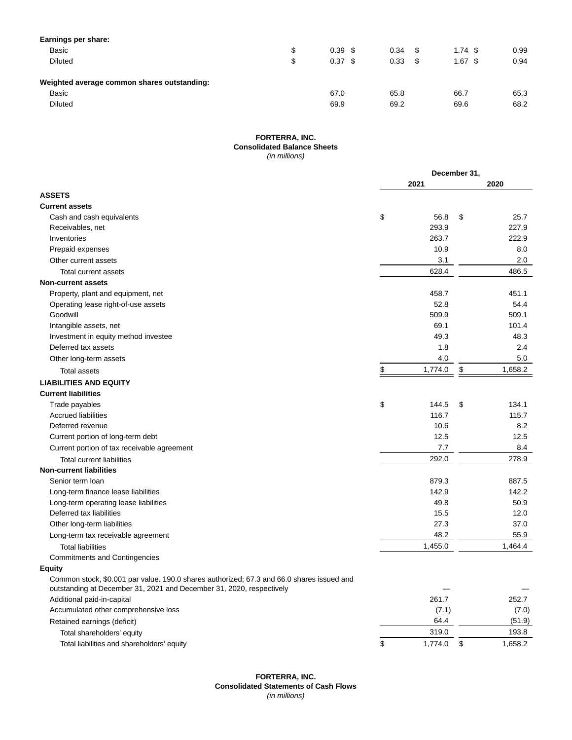| Earnings per share:                         |                         |              |           |      |
|---------------------------------------------|-------------------------|--------------|-----------|------|
| Basic                                       | $0.39$ \$               | 0.34<br>- \$ | $1.74$ \$ | 0.99 |
| <b>Diluted</b>                              | \$<br>$0.37 \text{ } $$ | 0.33<br>\$   | $1.67$ \$ | 0.94 |
| Weighted average common shares outstanding: |                         |              |           |      |
| Basic                                       | 67.0                    | 65.8         | 66.7      | 65.3 |
| <b>Diluted</b>                              | 69.9                    | 69.2         | 69.6      | 68.2 |

## **FORTERRA, INC. Consolidated Balance Sheets** (in millions)

|                                                                                                                                                                   |               | December 31, |         |
|-------------------------------------------------------------------------------------------------------------------------------------------------------------------|---------------|--------------|---------|
|                                                                                                                                                                   | 2021          |              | 2020    |
| <b>ASSETS</b>                                                                                                                                                     |               |              |         |
| <b>Current assets</b>                                                                                                                                             |               |              |         |
| Cash and cash equivalents                                                                                                                                         | \$<br>56.8    | \$           | 25.7    |
| Receivables, net                                                                                                                                                  | 293.9         |              | 227.9   |
| Inventories                                                                                                                                                       | 263.7         |              | 222.9   |
| Prepaid expenses                                                                                                                                                  | 10.9          |              | 8.0     |
| Other current assets                                                                                                                                              | 3.1           |              | 2.0     |
| Total current assets                                                                                                                                              | 628.4         |              | 486.5   |
| <b>Non-current assets</b>                                                                                                                                         |               |              |         |
| Property, plant and equipment, net                                                                                                                                | 458.7         |              | 451.1   |
| Operating lease right-of-use assets                                                                                                                               | 52.8          |              | 54.4    |
| Goodwill                                                                                                                                                          | 509.9         |              | 509.1   |
| Intangible assets, net                                                                                                                                            | 69.1          |              | 101.4   |
| Investment in equity method investee                                                                                                                              | 49.3          |              | 48.3    |
| Deferred tax assets                                                                                                                                               | 1.8           |              | 2.4     |
| Other long-term assets                                                                                                                                            | 4.0           |              | 5.0     |
| <b>Total assets</b>                                                                                                                                               | \$<br>1,774.0 | \$           | 1,658.2 |
| <b>LIABILITIES AND EQUITY</b>                                                                                                                                     |               |              |         |
| <b>Current liabilities</b>                                                                                                                                        |               |              |         |
| Trade payables                                                                                                                                                    | \$<br>144.5   | \$           | 134.1   |
| <b>Accrued liabilities</b>                                                                                                                                        | 116.7         |              | 115.7   |
| Deferred revenue                                                                                                                                                  | 10.6          |              | 8.2     |
| Current portion of long-term debt                                                                                                                                 | 12.5          |              | 12.5    |
| Current portion of tax receivable agreement                                                                                                                       | 7.7           |              | 8.4     |
| <b>Total current liabilities</b>                                                                                                                                  | 292.0         |              | 278.9   |
| <b>Non-current liabilities</b>                                                                                                                                    |               |              |         |
| Senior term loan                                                                                                                                                  | 879.3         |              | 887.5   |
| Long-term finance lease liabilities                                                                                                                               | 142.9         |              | 142.2   |
| Long-term operating lease liabilities                                                                                                                             | 49.8          |              | 50.9    |
| Deferred tax liabilities                                                                                                                                          | 15.5          |              | 12.0    |
| Other long-term liabilities                                                                                                                                       | 27.3          |              | 37.0    |
| Long-term tax receivable agreement                                                                                                                                | 48.2          |              | 55.9    |
| <b>Total liabilities</b>                                                                                                                                          | 1,455.0       |              | 1,464.4 |
| <b>Commitments and Contingencies</b>                                                                                                                              |               |              |         |
| <b>Equity</b>                                                                                                                                                     |               |              |         |
| Common stock, \$0.001 par value. 190.0 shares authorized; 67.3 and 66.0 shares issued and<br>outstanding at December 31, 2021 and December 31, 2020, respectively |               |              |         |
| Additional paid-in-capital                                                                                                                                        | 261.7         |              | 252.7   |
| Accumulated other comprehensive loss                                                                                                                              | (7.1)         |              | (7.0)   |
| Retained earnings (deficit)                                                                                                                                       | 64.4          |              | (51.9)  |
| Total shareholders' equity                                                                                                                                        | 319.0         |              | 193.8   |
| Total liabilities and shareholders' equity                                                                                                                        | \$<br>1,774.0 | \$           | 1,658.2 |

## **FORTERRA, INC. Consolidated Statements of Cash Flows** (in millions)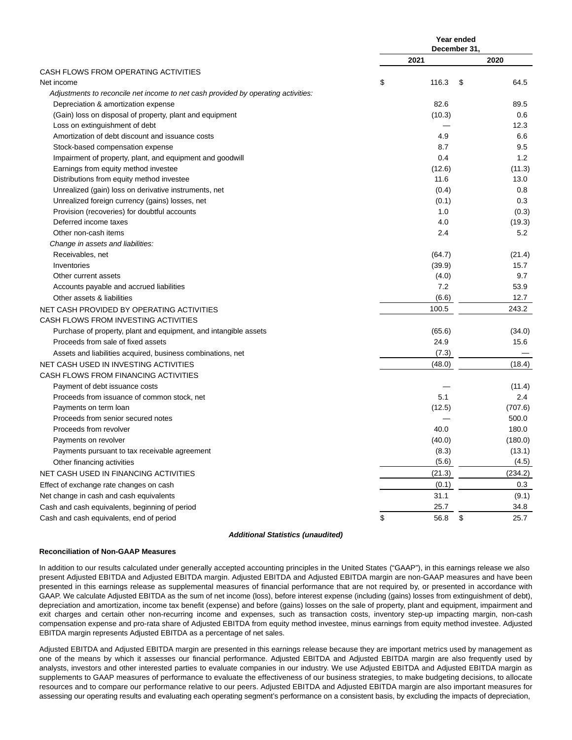|                                                                                   | Year ended<br>December 31, |        |    |         |  |  |
|-----------------------------------------------------------------------------------|----------------------------|--------|----|---------|--|--|
|                                                                                   |                            | 2021   |    | 2020    |  |  |
| CASH FLOWS FROM OPERATING ACTIVITIES                                              |                            |        |    |         |  |  |
| Net income                                                                        | \$                         | 116.3  | \$ | 64.5    |  |  |
| Adjustments to reconcile net income to net cash provided by operating activities: |                            |        |    |         |  |  |
| Depreciation & amortization expense                                               |                            | 82.6   |    | 89.5    |  |  |
| (Gain) loss on disposal of property, plant and equipment                          |                            | (10.3) |    | 0.6     |  |  |
| Loss on extinguishment of debt                                                    |                            |        |    | 12.3    |  |  |
| Amortization of debt discount and issuance costs                                  |                            | 4.9    |    | 6.6     |  |  |
| Stock-based compensation expense                                                  |                            | 8.7    |    | 9.5     |  |  |
| Impairment of property, plant, and equipment and goodwill                         |                            | 0.4    |    | 1.2     |  |  |
| Earnings from equity method investee                                              |                            | (12.6) |    | (11.3)  |  |  |
| Distributions from equity method investee                                         |                            | 11.6   |    | 13.0    |  |  |
| Unrealized (gain) loss on derivative instruments, net                             |                            | (0.4)  |    | 0.8     |  |  |
| Unrealized foreign currency (gains) losses, net                                   |                            | (0.1)  |    | 0.3     |  |  |
| Provision (recoveries) for doubtful accounts                                      |                            | 1.0    |    | (0.3)   |  |  |
| Deferred income taxes                                                             |                            | 4.0    |    | (19.3)  |  |  |
| Other non-cash items                                                              |                            | 2.4    |    | 5.2     |  |  |
| Change in assets and liabilities:                                                 |                            |        |    |         |  |  |
| Receivables, net                                                                  |                            | (64.7) |    | (21.4)  |  |  |
| Inventories                                                                       |                            | (39.9) |    | 15.7    |  |  |
| Other current assets                                                              |                            | (4.0)  |    | 9.7     |  |  |
| Accounts payable and accrued liabilities                                          |                            | 7.2    |    | 53.9    |  |  |
| Other assets & liabilities                                                        |                            | (6.6)  |    | 12.7    |  |  |
| NET CASH PROVIDED BY OPERATING ACTIVITIES                                         |                            | 100.5  |    | 243.2   |  |  |
| CASH FLOWS FROM INVESTING ACTIVITIES                                              |                            |        |    |         |  |  |
| Purchase of property, plant and equipment, and intangible assets                  |                            | (65.6) |    | (34.0)  |  |  |
| Proceeds from sale of fixed assets                                                |                            | 24.9   |    | 15.6    |  |  |
| Assets and liabilities acquired, business combinations, net                       |                            | (7.3)  |    |         |  |  |
| NET CASH USED IN INVESTING ACTIVITIES                                             |                            | (48.0) |    | (18.4)  |  |  |
| CASH FLOWS FROM FINANCING ACTIVITIES                                              |                            |        |    |         |  |  |
| Payment of debt issuance costs                                                    |                            |        |    | (11.4)  |  |  |
| Proceeds from issuance of common stock, net                                       |                            | 5.1    |    | 2.4     |  |  |
| Payments on term loan                                                             |                            | (12.5) |    | (707.6) |  |  |
| Proceeds from senior secured notes                                                |                            |        |    | 500.0   |  |  |
| Proceeds from revolver                                                            |                            | 40.0   |    | 180.0   |  |  |
| Payments on revolver                                                              |                            | (40.0) |    | (180.0) |  |  |
| Payments pursuant to tax receivable agreement                                     |                            | (8.3)  |    | (13.1)  |  |  |
| Other financing activities                                                        |                            | (5.6)  |    | (4.5)   |  |  |
| NET CASH USED IN FINANCING ACTIVITIES                                             |                            | (21.3) |    | (234.2) |  |  |
| Effect of exchange rate changes on cash                                           |                            | (0.1)  |    | 0.3     |  |  |
| Net change in cash and cash equivalents                                           |                            | 31.1   |    | (9.1)   |  |  |
| Cash and cash equivalents, beginning of period                                    |                            | 25.7   |    | 34.8    |  |  |
| Cash and cash equivalents, end of period                                          | \$                         | 56.8   | \$ | 25.7    |  |  |

#### **Additional Statistics (unaudited)**

## **Reconciliation of Non-GAAP Measures**

In addition to our results calculated under generally accepted accounting principles in the United States ("GAAP"), in this earnings release we also present Adjusted EBITDA and Adjusted EBITDA margin. Adjusted EBITDA and Adjusted EBITDA margin are non-GAAP measures and have been presented in this earnings release as supplemental measures of financial performance that are not required by, or presented in accordance with GAAP. We calculate Adjusted EBITDA as the sum of net income (loss), before interest expense (including (gains) losses from extinguishment of debt), depreciation and amortization, income tax benefit (expense) and before (gains) losses on the sale of property, plant and equipment, impairment and exit charges and certain other non-recurring income and expenses, such as transaction costs, inventory step-up impacting margin, non-cash compensation expense and pro-rata share of Adjusted EBITDA from equity method investee, minus earnings from equity method investee. Adjusted EBITDA margin represents Adjusted EBITDA as a percentage of net sales.

Adjusted EBITDA and Adjusted EBITDA margin are presented in this earnings release because they are important metrics used by management as one of the means by which it assesses our financial performance. Adjusted EBITDA and Adjusted EBITDA margin are also frequently used by analysts, investors and other interested parties to evaluate companies in our industry. We use Adjusted EBITDA and Adjusted EBITDA margin as supplements to GAAP measures of performance to evaluate the effectiveness of our business strategies, to make budgeting decisions, to allocate resources and to compare our performance relative to our peers. Adjusted EBITDA and Adjusted EBITDA margin are also important measures for assessing our operating results and evaluating each operating segment's performance on a consistent basis, by excluding the impacts of depreciation,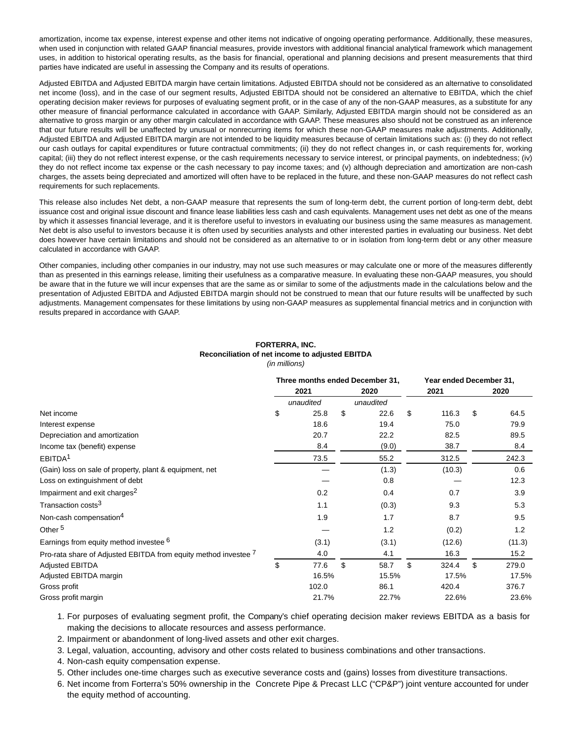amortization, income tax expense, interest expense and other items not indicative of ongoing operating performance. Additionally, these measures, when used in conjunction with related GAAP financial measures, provide investors with additional financial analytical framework which management uses, in addition to historical operating results, as the basis for financial, operational and planning decisions and present measurements that third parties have indicated are useful in assessing the Company and its results of operations.

Adjusted EBITDA and Adjusted EBITDA margin have certain limitations. Adjusted EBITDA should not be considered as an alternative to consolidated net income (loss), and in the case of our segment results, Adjusted EBITDA should not be considered an alternative to EBITDA, which the chief operating decision maker reviews for purposes of evaluating segment profit, or in the case of any of the non-GAAP measures, as a substitute for any other measure of financial performance calculated in accordance with GAAP. Similarly, Adjusted EBITDA margin should not be considered as an alternative to gross margin or any other margin calculated in accordance with GAAP. These measures also should not be construed as an inference that our future results will be unaffected by unusual or nonrecurring items for which these non-GAAP measures make adjustments. Additionally, Adjusted EBITDA and Adjusted EBITDA margin are not intended to be liquidity measures because of certain limitations such as: (i) they do not reflect our cash outlays for capital expenditures or future contractual commitments; (ii) they do not reflect changes in, or cash requirements for, working capital; (iii) they do not reflect interest expense, or the cash requirements necessary to service interest, or principal payments, on indebtedness; (iv) they do not reflect income tax expense or the cash necessary to pay income taxes; and (v) although depreciation and amortization are non-cash charges, the assets being depreciated and amortized will often have to be replaced in the future, and these non-GAAP measures do not reflect cash requirements for such replacements.

This release also includes Net debt, a non-GAAP measure that represents the sum of long-term debt, the current portion of long-term debt, debt issuance cost and original issue discount and finance lease liabilities less cash and cash equivalents. Management uses net debt as one of the means by which it assesses financial leverage, and it is therefore useful to investors in evaluating our business using the same measures as management. Net debt is also useful to investors because it is often used by securities analysts and other interested parties in evaluating our business. Net debt does however have certain limitations and should not be considered as an alternative to or in isolation from long-term debt or any other measure calculated in accordance with GAAP.

Other companies, including other companies in our industry, may not use such measures or may calculate one or more of the measures differently than as presented in this earnings release, limiting their usefulness as a comparative measure. In evaluating these non-GAAP measures, you should be aware that in the future we will incur expenses that are the same as or similar to some of the adjustments made in the calculations below and the presentation of Adjusted EBITDA and Adjusted EBITDA margin should not be construed to mean that our future results will be unaffected by such adjustments. Management compensates for these limitations by using non-GAAP measures as supplemental financial metrics and in conjunction with results prepared in accordance with GAAP.

#### **FORTERRA, INC. Reconciliation of net income to adjusted EBITDA** (in millions)

|                                                                            | Three months ended December 31, |           |    |           |      | Year ended December 31, |    |        |  |
|----------------------------------------------------------------------------|---------------------------------|-----------|----|-----------|------|-------------------------|----|--------|--|
|                                                                            |                                 | 2021      |    | 2020      | 2021 |                         |    | 2020   |  |
|                                                                            |                                 | unaudited |    | unaudited |      |                         |    |        |  |
| Net income                                                                 | \$                              | 25.8      | \$ | 22.6      | \$   | 116.3                   | \$ | 64.5   |  |
| Interest expense                                                           |                                 | 18.6      |    | 19.4      |      | 75.0                    |    | 79.9   |  |
| Depreciation and amortization                                              |                                 | 20.7      |    | 22.2      |      | 82.5                    |    | 89.5   |  |
| Income tax (benefit) expense                                               |                                 | 8.4       |    | (9.0)     |      | 38.7                    |    | 8.4    |  |
| EBITDA <sup>1</sup>                                                        |                                 | 73.5      |    | 55.2      |      | 312.5                   |    | 242.3  |  |
| (Gain) loss on sale of property, plant & equipment, net                    |                                 |           |    | (1.3)     |      | (10.3)                  |    | 0.6    |  |
| Loss on extinguishment of debt                                             |                                 |           |    | 0.8       |      |                         |    | 12.3   |  |
| Impairment and exit charges <sup>2</sup>                                   |                                 | 0.2       |    | 0.4       |      | 0.7                     |    | 3.9    |  |
| Transaction costs <sup>3</sup>                                             |                                 | 1.1       |    | (0.3)     |      | 9.3                     |    | 5.3    |  |
| Non-cash compensation <sup>4</sup>                                         |                                 | 1.9       |    | 1.7       |      | 8.7                     |    | 9.5    |  |
| Other <sup>5</sup>                                                         |                                 |           |    | 1.2       |      | (0.2)                   |    | 1.2    |  |
| Earnings from equity method investee <sup>6</sup>                          |                                 | (3.1)     |    | (3.1)     |      | (12.6)                  |    | (11.3) |  |
| Pro-rata share of Adjusted EBITDA from equity method investee <sup>7</sup> |                                 | 4.0       |    | 4.1       |      | 16.3                    |    | 15.2   |  |
| <b>Adjusted EBITDA</b>                                                     | \$                              | 77.6      | \$ | 58.7      | \$   | 324.4                   | \$ | 279.0  |  |
| Adjusted EBITDA margin                                                     |                                 | 16.5%     |    | 15.5%     |      | 17.5%                   |    | 17.5%  |  |
| Gross profit                                                               |                                 | 102.0     |    | 86.1      |      | 420.4                   |    | 376.7  |  |
| Gross profit margin                                                        |                                 | 21.7%     |    | 22.7%     |      | 22.6%                   |    | 23.6%  |  |

1. For purposes of evaluating segment profit, the Company's chief operating decision maker reviews EBITDA as a basis for making the decisions to allocate resources and assess performance.

- 2. Impairment or abandonment of long-lived assets and other exit charges.
- 3. Legal, valuation, accounting, advisory and other costs related to business combinations and other transactions.
- 4. Non-cash equity compensation expense.

5. Other includes one-time charges such as executive severance costs and (gains) losses from divestiture transactions.

6. Net income from Forterra's 50% ownership in the Concrete Pipe & Precast LLC ("CP&P") joint venture accounted for under the equity method of accounting.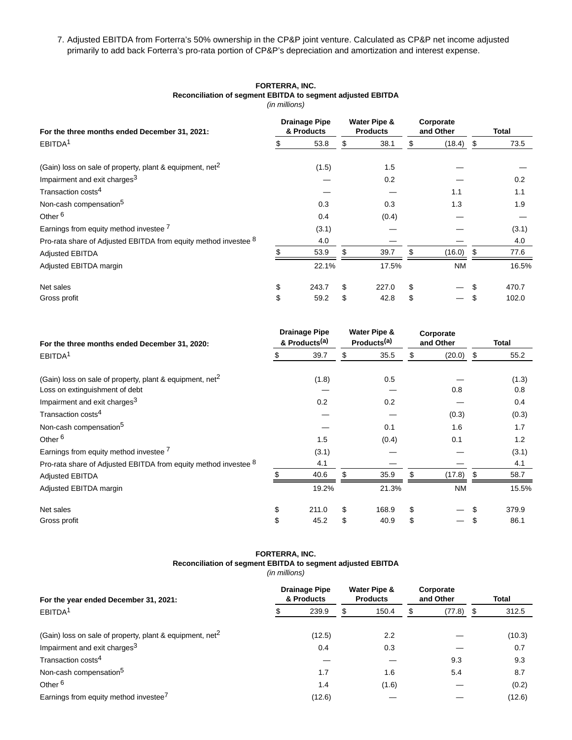7. Adjusted EBITDA from Forterra's 50% ownership in the CP&P joint venture. Calculated as CP&P net income adjusted primarily to add back Forterra's pro-rata portion of CP&P's depreciation and amortization and interest expense.

### **FORTERRA, INC. Reconciliation of segment EBITDA to segment adjusted EBITDA** (in millions)

| For the three months ended December 31, 2021:                              |    | <b>Drainage Pipe</b><br>& Products |     | <b>Water Pipe &amp;</b><br><b>Products</b> |     | Corporate<br>and Other |     | Total |  |
|----------------------------------------------------------------------------|----|------------------------------------|-----|--------------------------------------------|-----|------------------------|-----|-------|--|
| EBITDA <sup>1</sup>                                                        |    | 53.8                               | \$  | 38.1                                       | S   | (18.4)                 | \$  | 73.5  |  |
| (Gain) loss on sale of property, plant & equipment, $net2$                 |    | (1.5)                              |     | 1.5                                        |     |                        |     |       |  |
| Impairment and exit charges <sup>3</sup>                                   |    |                                    |     | 0.2                                        |     |                        |     | 0.2   |  |
| Transaction costs <sup>4</sup>                                             |    |                                    |     |                                            |     | 1.1                    |     | 1.1   |  |
| Non-cash compensation <sup>5</sup>                                         |    | 0.3                                |     | 0.3                                        |     | 1.3                    |     | 1.9   |  |
| Other <sup>6</sup>                                                         |    | 0.4                                |     | (0.4)                                      |     |                        |     |       |  |
| Earnings from equity method investee '                                     |    | (3.1)                              |     |                                            |     |                        |     | (3.1) |  |
| Pro-rata share of Adjusted EBITDA from equity method investee <sup>8</sup> |    | 4.0                                |     |                                            |     |                        |     | 4.0   |  |
| <b>Adjusted EBITDA</b>                                                     |    | 53.9                               | \$. | 39.7                                       | \$. | (16.0)                 | \$. | 77.6  |  |
| Adjusted EBITDA margin                                                     |    | 22.1%                              |     | 17.5%                                      |     | <b>NM</b>              |     | 16.5% |  |
| Net sales                                                                  | \$ | 243.7                              | \$  | 227.0                                      | \$  |                        | S   | 470.7 |  |
| Gross profit                                                               | \$ | 59.2                               | \$  | 42.8                                       | \$  |                        |     | 102.0 |  |

| For the three months ended December 31, 2020:                   |    | <b>Drainage Pipe</b><br>& Products <sup>(a)</sup> |    | <b>Water Pipe &amp;</b><br>Products <sup>(a)</sup> |    | Corporate<br>and Other |    | Total |
|-----------------------------------------------------------------|----|---------------------------------------------------|----|----------------------------------------------------|----|------------------------|----|-------|
| EBITDA <sup>1</sup>                                             |    | 39.7                                              | \$ | 35.5                                               | \$ | (20.0)                 | \$ | 55.2  |
| (Gain) loss on sale of property, plant & equipment, $net2$      |    | (1.8)                                             |    | 0.5                                                |    |                        |    | (1.3) |
| Loss on extinguishment of debt                                  |    |                                                   |    |                                                    |    | 0.8                    |    | 0.8   |
| Impairment and exit charges <sup>3</sup>                        |    | 0.2                                               |    | 0.2                                                |    |                        |    | 0.4   |
| Transaction costs <sup>4</sup>                                  |    |                                                   |    |                                                    |    | (0.3)                  |    | (0.3) |
| Non-cash compensation <sup>5</sup>                              |    |                                                   |    | 0.1                                                |    | 1.6                    |    | 1.7   |
| Other <sup>6</sup>                                              |    | 1.5                                               |    | (0.4)                                              |    | 0.1                    |    | 1.2   |
| Earnings from equity method investee 7                          |    | (3.1)                                             |    |                                                    |    |                        |    | (3.1) |
| Pro-rata share of Adjusted EBITDA from equity method investee 8 |    | 4.1                                               |    |                                                    |    |                        |    | 4.1   |
| <b>Adjusted EBITDA</b>                                          |    | 40.6                                              | \$ | 35.9                                               | \$ | (17.8)                 |    | 58.7  |
| Adjusted EBITDA margin                                          |    | 19.2%                                             |    | 21.3%                                              |    | <b>NM</b>              |    | 15.5% |
| Net sales                                                       | \$ | 211.0                                             | \$ | 168.9                                              | \$ |                        | \$ | 379.9 |
| Gross profit                                                    | \$ | 45.2                                              | \$ | 40.9                                               | \$ |                        | \$ | 86.1  |

## **FORTERRA, INC. Reconciliation of segment EBITDA to segment adjusted EBITDA** (in millions)

| For the year ended December 31, 2021:                       | <b>Drainage Pipe</b><br>& Products | Water Pipe &<br><b>Products</b> |  | Corporate<br>and Other |  | Total  |      |        |
|-------------------------------------------------------------|------------------------------------|---------------------------------|--|------------------------|--|--------|------|--------|
| EBITDA <sup>1</sup>                                         |                                    | 239.9                           |  | 150.4                  |  | (77.8) | - \$ | 312.5  |
| (Gain) loss on sale of property, plant & equipment, $net^2$ |                                    | (12.5)                          |  | 2.2                    |  |        |      | (10.3) |
| Impairment and exit charges <sup>3</sup>                    |                                    | 0.4                             |  | 0.3                    |  |        |      | 0.7    |
| Transaction costs <sup>4</sup>                              |                                    |                                 |  |                        |  | 9.3    |      | 9.3    |
| Non-cash compensation <sup>5</sup>                          |                                    | 1.7                             |  | 1.6                    |  | 5.4    |      | 8.7    |
| Other <sup>6</sup>                                          |                                    | 1.4                             |  | (1.6)                  |  |        |      | (0.2)  |
| Earnings from equity method investee                        |                                    | (12.6)                          |  |                        |  |        |      | (12.6) |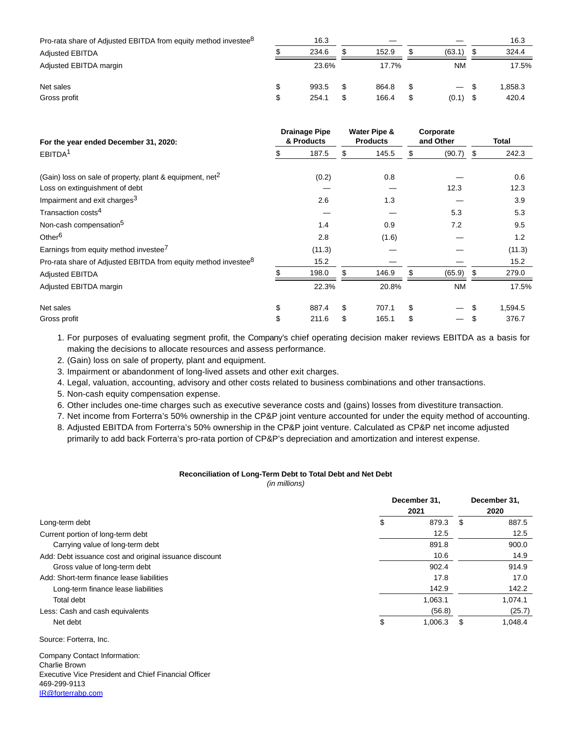| Pro-rata share of Adjusted EBITDA from equity method investee <sup>8</sup> | 16.3        |       |                                |    | 16.3   |
|----------------------------------------------------------------------------|-------------|-------|--------------------------------|----|--------|
| <b>Adjusted EBITDA</b>                                                     | 234.6       | 152.9 | (63.1)                         |    | 324.4  |
| Adjusted EBITDA margin                                                     | 23.6%       | 17.7% | <b>NM</b>                      |    | 17.5%  |
| Net sales                                                                  | \$<br>993.5 | 864.8 | \$<br>$\overline{\phantom{0}}$ | -S | .858.3 |
| Gross profit                                                               | 254.1       | 166.4 | \$<br>(0.1)                    |    | 420.4  |

| For the year ended December 31, 2020:                                      |    | <b>Drainage Pipe</b><br>& Products |    | Water Pipe &<br><b>Products</b> |    | Corporate<br>and Other |    | Total   |
|----------------------------------------------------------------------------|----|------------------------------------|----|---------------------------------|----|------------------------|----|---------|
| EBITDA <sup>1</sup>                                                        |    | 187.5                              | \$ | 145.5                           | \$ | (90.7)                 | \$ | 242.3   |
| (Gain) loss on sale of property, plant & equipment, $net2$                 |    | (0.2)                              |    | 0.8                             |    |                        |    | 0.6     |
| Loss on extinguishment of debt                                             |    |                                    |    |                                 |    | 12.3                   |    | 12.3    |
| Impairment and exit charges <sup>3</sup>                                   |    | 2.6                                |    | 1.3                             |    |                        |    | 3.9     |
| Transaction costs <sup>4</sup>                                             |    |                                    |    |                                 |    | 5.3                    |    | 5.3     |
| Non-cash compensation <sup>5</sup>                                         |    | 1.4                                |    | 0.9                             |    | 7.2                    |    | 9.5     |
| Other <sup>6</sup>                                                         |    | 2.8                                |    | (1.6)                           |    |                        |    | 1.2     |
| Earnings from equity method investee <sup>7</sup>                          |    | (11.3)                             |    |                                 |    |                        |    | (11.3)  |
| Pro-rata share of Adjusted EBITDA from equity method investee <sup>8</sup> |    | 15.2                               |    |                                 |    |                        |    | 15.2    |
| <b>Adjusted EBITDA</b>                                                     |    | 198.0                              |    | 146.9                           |    | (65.9)                 |    | 279.0   |
| Adjusted EBITDA margin                                                     |    | 22.3%                              |    | 20.8%                           |    | <b>NM</b>              |    | 17.5%   |
| Net sales                                                                  | \$ | 887.4                              | \$ | 707.1                           | \$ |                        |    | 1,594.5 |
| Gross profit                                                               | \$ | 211.6                              | \$ | 165.1                           | \$ |                        |    | 376.7   |

1. For purposes of evaluating segment profit, the Company's chief operating decision maker reviews EBITDA as a basis for making the decisions to allocate resources and assess performance.

2. (Gain) loss on sale of property, plant and equipment.

3. Impairment or abandonment of long-lived assets and other exit charges.

4. Legal, valuation, accounting, advisory and other costs related to business combinations and other transactions.

5. Non-cash equity compensation expense.

6. Other includes one-time charges such as executive severance costs and (gains) losses from divestiture transaction.

7. Net income from Forterra's 50% ownership in the CP&P joint venture accounted for under the equity method of accounting.

8. Adjusted EBITDA from Forterra's 50% ownership in the CP&P joint venture. Calculated as CP&P net income adjusted primarily to add back Forterra's pro-rata portion of CP&P's depreciation and amortization and interest expense.

## **Reconciliation of Long-Term Debt to Total Debt and Net Debt**

(in millions)

|                                                        | December 31.<br>2021 |         | December 31.<br>2020 |         |
|--------------------------------------------------------|----------------------|---------|----------------------|---------|
|                                                        |                      |         |                      |         |
| Long-term debt                                         | \$                   | 879.3   | \$.                  | 887.5   |
| Current portion of long-term debt                      |                      | 12.5    |                      | 12.5    |
| Carrying value of long-term debt                       |                      | 891.8   |                      | 900.0   |
| Add: Debt issuance cost and original issuance discount |                      | 10.6    |                      | 14.9    |
| Gross value of long-term debt                          |                      | 902.4   |                      | 914.9   |
| Add: Short-term finance lease liabilities              |                      | 17.8    |                      | 17.0    |
| Long-term finance lease liabilities                    |                      | 142.9   |                      | 142.2   |
| Total debt                                             |                      | 1,063.1 |                      | 1,074.1 |
| Less: Cash and cash equivalents                        |                      | (56.8)  |                      | (25.7)  |
| Net debt                                               | \$                   | 1,006.3 | \$                   | 1,048.4 |
| Source: Forterra, Inc.                                 |                      |         |                      |         |

Company Contact Information: Charlie Brown Executive Vice President and Chief Financial Officer 469-299-9113 [IR@forterrabp.com](mailto:IR@forterrabp.com)